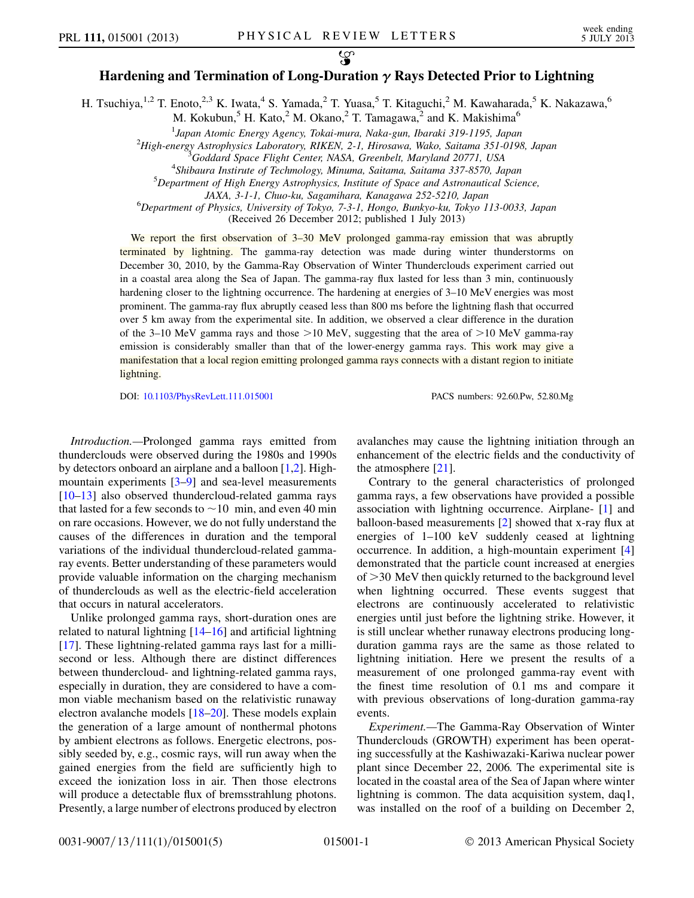## $\mathcal{L}$ Hardening and Termination of Long-Duration  $\gamma$  Rays Detected Prior to Lightning

H. Tsuchiya,<sup>1,2</sup> T. Enoto,<sup>2,3</sup> K. Iwata,<sup>4</sup> S. Yamada,<sup>2</sup> T. Yuasa,<sup>5</sup> T. Kitaguchi,<sup>2</sup> M. Kawaharada,<sup>5</sup> K. Nakazawa,<sup>6</sup>

M. Kokubun,<sup>5</sup> H. Kato,<sup>2</sup> M. Okano,<sup>2</sup> T. Tamagawa,<sup>2</sup> and K. Makishima<sup>6</sup>

<sup>1</sup> Japan Atomic Energy Agency, Tokai-mura, Naka-gun, Ibaraki 319-1195, Japan<br><sup>2</sup> Hich anggan Astrophysics Laboratory, *PIKEN* 2.1, Hiposawa, Wako, Saitama 351,0109

 $^{2}$ High-energy Astrophysics Laboratory, RIKEN, 2-1, Hirosawa, Wako, Saitama 351-0198, Japan

<sup>4</sup>Shibaura Instirute of Techmology, Minuma, Saitama, Saitama 337-8570, Japan

 $5$ Department of High Energy Astrophysics, Institute of Space and Astronautical Science,

JAXA, 3-1-1, Chuo-ku, Sagamihara, Kanagawa 252-5210, Japan <sup>6</sup>

 ${}^{6}$ Department of Physics, University of Tokyo, 7-3-1, Hongo, Bunkyo-ku, Tokyo 113-0033, Japan

(Received 26 December 2012; published 1 July 2013)

We report the first observation of 3–30 MeV prolonged gamma-ray emission that was abruptly terminated by lightning. The gamma-ray detection was made during winter thunderstorms on December 30, 2010, by the Gamma-Ray Observation of Winter Thunderclouds experiment carried out in a coastal area along the Sea of Japan. The gamma-ray flux lasted for less than 3 min, continuously hardening closer to the lightning occurrence. The hardening at energies of 3–10 MeV energies was most prominent. The gamma-ray flux abruptly ceased less than 800 ms before the lightning flash that occurred over 5 km away from the experimental site. In addition, we observed a clear difference in the duration of the 3–10 MeV gamma rays and those  $>10$  MeV, suggesting that the area of  $>10$  MeV gamma-ray emission is considerably smaller than that of the lower-energy gamma rays. This work may give a manifestation that a local region emitting prolonged gamma rays connects with a distant region to initiate lightning.

DOI: [10.1103/PhysRevLett.111.015001](http://dx.doi.org/10.1103/PhysRevLett.111.015001) PACS numbers: 92.60.Pw, 52.80.Mg

Introduction.—Prolonged gamma rays emitted from thunderclouds were observed during the 1980s and 1990s by detectors onboard an airplane and a balloon [\[1](#page-4-0)[,2](#page-4-1)]. Highmountain experiments [\[3](#page-4-2)[–9\]](#page-4-3) and sea-level measurements [\[10–](#page-4-4)[13\]](#page-4-5) also observed thundercloud-related gamma rays that lasted for a few seconds to  $\sim$  10 min, and even 40 min on rare occasions. However, we do not fully understand the causes of the differences in duration and the temporal variations of the individual thundercloud-related gammaray events. Better understanding of these parameters would provide valuable information on the charging mechanism of thunderclouds as well as the electric-field acceleration that occurs in natural accelerators.

Unlike prolonged gamma rays, short-duration ones are related to natural lightning [[14](#page-4-6)[–16\]](#page-4-7) and artificial lightning [\[17\]](#page-4-8). These lightning-related gamma rays last for a millisecond or less. Although there are distinct differences between thundercloud- and lightning-related gamma rays, especially in duration, they are considered to have a common viable mechanism based on the relativistic runaway electron avalanche models [[18](#page-4-9)–[20](#page-4-10)]. These models explain the generation of a large amount of nonthermal photons by ambient electrons as follows. Energetic electrons, possibly seeded by, e.g., cosmic rays, will run away when the gained energies from the field are sufficiently high to exceed the ionization loss in air. Then those electrons will produce a detectable flux of bremsstrahlung photons. Presently, a large number of electrons produced by electron avalanches may cause the lightning initiation through an enhancement of the electric fields and the conductivity of the atmosphere [[21](#page-4-11)].

Contrary to the general characteristics of prolonged gamma rays, a few observations have provided a possible association with lightning occurrence. Airplane- [[1](#page-4-0)] and balloon-based measurements [\[2](#page-4-1)] showed that x-ray flux at energies of 1–100 keV suddenly ceased at lightning occurrence. In addition, a high-mountain experiment [\[4\]](#page-4-12) demonstrated that the particle count increased at energies  $of$   $>$ 30 MeV then quickly returned to the background level when lightning occurred. These events suggest that electrons are continuously accelerated to relativistic energies until just before the lightning strike. However, it is still unclear whether runaway electrons producing longduration gamma rays are the same as those related to lightning initiation. Here we present the results of a measurement of one prolonged gamma-ray event with the finest time resolution of 0.1 ms and compare it with previous observations of long-duration gamma-ray events.

Experiment.—The Gamma-Ray Observation of Winter Thunderclouds (GROWTH) experiment has been operating successfully at the Kashiwazaki-Kariwa nuclear power plant since December 22, 2006. The experimental site is located in the coastal area of the Sea of Japan where winter lightning is common. The data acquisition system, daq1, was installed on the roof of a building on December 2,

0031-9007/13/111(1)/015001(5) 015001-1 © 2013 American Physical Society

<sup>&</sup>lt;sup>5</sup>Goddard Space Flight Center, NASA, Greenbelt, Maryland 20771, USA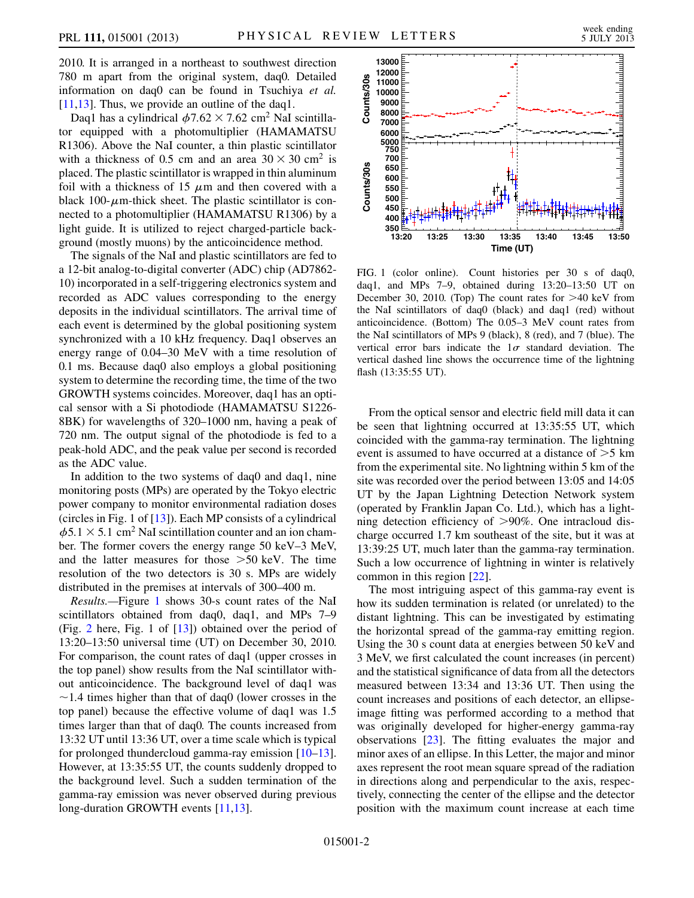2010. It is arranged in a northeast to southwest direction 780 m apart from the original system, daq0. Detailed information on daq0 can be found in Tsuchiya et al. [\[11](#page-4-13)[,13\]](#page-4-5). Thus, we provide an outline of the daq1.

Daq1 has a cylindrical  $\phi$ 7.62 × 7.62 cm<sup>2</sup> NaI scintillator equipped with a photomultiplier (HAMAMATSU R1306). Above the NaI counter, a thin plastic scintillator with a thickness of 0.5 cm and an area  $30 \times 30$  cm<sup>2</sup> is placed. The plastic scintillator is wrapped in thin aluminum foil with a thickness of 15  $\mu$ m and then covered with a black 100- $\mu$ m-thick sheet. The plastic scintillator is connected to a photomultiplier (HAMAMATSU R1306) by a light guide. It is utilized to reject charged-particle background (mostly muons) by the anticoincidence method.

The signals of the NaI and plastic scintillators are fed to a 12-bit analog-to-digital converter (ADC) chip (AD7862- 10) incorporated in a self-triggering electronics system and recorded as ADC values corresponding to the energy deposits in the individual scintillators. The arrival time of each event is determined by the global positioning system synchronized with a 10 kHz frequency. Daq1 observes an energy range of 0.04–30 MeV with a time resolution of 0.1 ms. Because daq0 also employs a global positioning system to determine the recording time, the time of the two GROWTH systems coincides. Moreover, daq1 has an optical sensor with a Si photodiode (HAMAMATSU S1226- 8BK) for wavelengths of 320–1000 nm, having a peak of 720 nm. The output signal of the photodiode is fed to a peak-hold ADC, and the peak value per second is recorded as the ADC value.

In addition to the two systems of daq0 and daq1, nine monitoring posts (MPs) are operated by the Tokyo electric power company to monitor environmental radiation doses (circles in Fig. 1 of [\[13\]](#page-4-5)). Each MP consists of a cylindrical  $\phi$ 5.1  $\times$  5.1 cm<sup>2</sup> NaI scintillation counter and an ion chamber. The former covers the energy range 50 keV–3 MeV, and the latter measures for those >50 keV. The time resolution of the two detectors is 30 s. MPs are widely distributed in the premises at intervals of 300–400 m.

Results.—Figure [1](#page-1-0) shows 30-s count rates of the NaI scintillators obtained from daq0, daq1, and MPs 7–9 (Fig. [2](#page-2-0) here, Fig. 1 of [\[13\]](#page-4-5)) obtained over the period of 13:20–13:50 universal time (UT) on December 30, 2010. For comparison, the count rates of daq1 (upper crosses in the top panel) show results from the NaI scintillator without anticoincidence. The background level of daq1 was  $\sim$  1.4 times higher than that of daq0 (lower crosses in the top panel) because the effective volume of daq1 was 1.5 times larger than that of daq0. The counts increased from 13:32 UT until 13:36 UT, over a time scale which is typical for prolonged thundercloud gamma-ray emission [[10](#page-4-4)–[13\]](#page-4-5). However, at 13:35:55 UT, the counts suddenly dropped to the background level. Such a sudden termination of the gamma-ray emission was never observed during previous long-duration GROWTH events [\[11,](#page-4-13)[13\]](#page-4-5).

<span id="page-1-0"></span>

FIG. 1 (color online). Count histories per 30 s of daq0, daq1, and MPs 7–9, obtained during 13:20–13:50 UT on December 30, 2010. (Top) The count rates for >40 keV from the NaI scintillators of daq0 (black) and daq1 (red) without anticoincidence. (Bottom) The 0.05–3 MeV count rates from the NaI scintillators of MPs 9 (black), 8 (red), and 7 (blue). The vertical error bars indicate the  $1\sigma$  standard deviation. The vertical dashed line shows the occurrence time of the lightning flash (13:35:55 UT).

From the optical sensor and electric field mill data it can be seen that lightning occurred at 13:35:55 UT, which coincided with the gamma-ray termination. The lightning event is assumed to have occurred at a distance of >5 km from the experimental site. No lightning within 5 km of the site was recorded over the period between 13:05 and 14:05 UT by the Japan Lightning Detection Network system (operated by Franklin Japan Co. Ltd.), which has a lightning detection efficiency of >90%. One intracloud discharge occurred 1.7 km southeast of the site, but it was at 13:39:25 UT, much later than the gamma-ray termination. Such a low occurrence of lightning in winter is relatively common in this region [\[22\]](#page-4-14).

The most intriguing aspect of this gamma-ray event is how its sudden termination is related (or unrelated) to the distant lightning. This can be investigated by estimating the horizontal spread of the gamma-ray emitting region. Using the 30 s count data at energies between 50 keV and 3 MeV, we first calculated the count increases (in percent) and the statistical significance of data from all the detectors measured between 13:34 and 13:36 UT. Then using the count increases and positions of each detector, an ellipseimage fitting was performed according to a method that was originally developed for higher-energy gamma-ray observations [[23](#page-4-15)]. The fitting evaluates the major and minor axes of an ellipse. In this Letter, the major and minor axes represent the root mean square spread of the radiation in directions along and perpendicular to the axis, respectively, connecting the center of the ellipse and the detector position with the maximum count increase at each time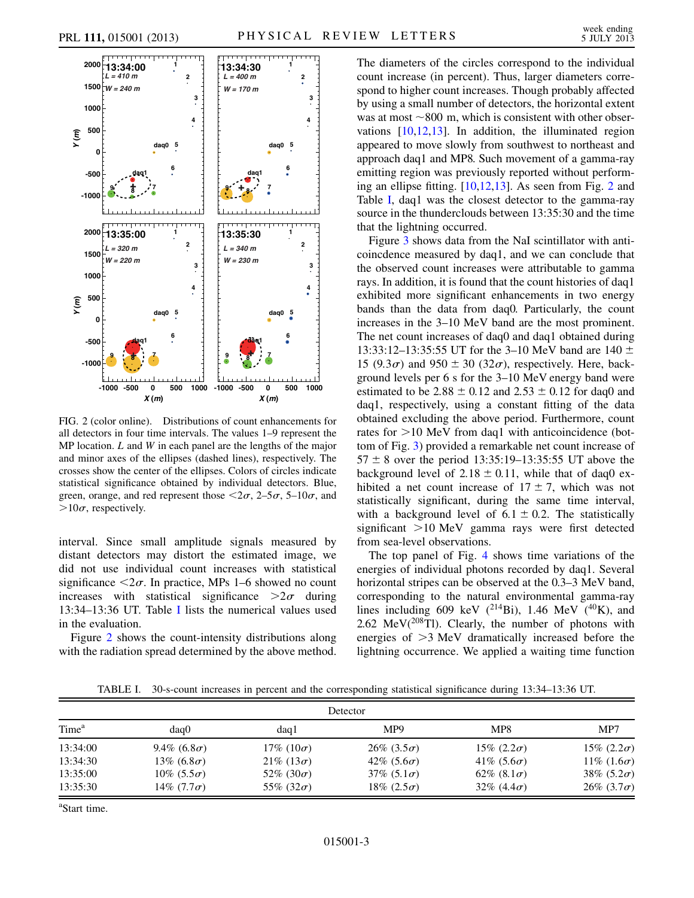<span id="page-2-0"></span>

FIG. 2 (color online). Distributions of count enhancements for all detectors in four time intervals. The values 1–9 represent the MP location.  $L$  and  $W$  in each panel are the lengths of the major and minor axes of the ellipses (dashed lines), respectively. The crosses show the center of the ellipses. Colors of circles indicate statistical significance obtained by individual detectors. Blue, green, orange, and red represent those  $\langle 2\sigma, 2-5\sigma, 5-10\sigma,$  and  $>10\sigma$ , respectively.

interval. Since small amplitude signals measured by distant detectors may distort the estimated image, we did not use individual count increases with statistical significance  $\langle 2\sigma$ . In practice, MPs 1–6 showed no count increases with statistical significance  $>2\sigma$  during 13:34–13:36 UT. Table [I](#page-2-1) lists the numerical values used in the evaluation.

Figure [2](#page-2-0) shows the count-intensity distributions along with the radiation spread determined by the above method. The diameters of the circles correspond to the individual count increase (in percent). Thus, larger diameters correspond to higher count increases. Though probably affected by using a small number of detectors, the horizontal extent was at most  $\sim$ 800 m, which is consistent with other observations [\[10,](#page-4-4)[12,](#page-4-16)[13](#page-4-5)]. In addition, the illuminated region appeared to move slowly from southwest to northeast and approach daq1 and MP8. Such movement of a gamma-ray emitting region was previously reported without performing an ellipse fitting. [\[10,](#page-4-4)[12,](#page-4-16)[13\]](#page-4-5). As seen from Fig. [2](#page-2-0) and Table [I,](#page-2-1) daq1 was the closest detector to the gamma-ray source in the thunderclouds between 13:35:30 and the time that the lightning occurred.

Figure [3](#page-3-0) shows data from the NaI scintillator with anticoincdence measured by daq1, and we can conclude that the observed count increases were attributable to gamma rays. In addition, it is found that the count histories of daq1 exhibited more significant enhancements in two energy bands than the data from daq0. Particularly, the count increases in the 3–10 MeV band are the most prominent. The net count increases of daq0 and daq1 obtained during 13:33:12–13:35:55 UT for the 3–10 MeV band are 140  $\pm$ 15 (9.3 $\sigma$ ) and 950  $\pm$  30 (32 $\sigma$ ), respectively. Here, background levels per 6 s for the 3–10 MeV energy band were estimated to be  $2.88 \pm 0.12$  and  $2.53 \pm 0.12$  for daq0 and daq1, respectively, using a constant fitting of the data obtained excluding the above period. Furthermore, count rates for >10 MeV from daq1 with anticoincidence (bottom of Fig. [3\)](#page-3-0) provided a remarkable net count increase of  $57 \pm 8$  over the period 13:35:19–13:35:55 UT above the background level of  $2.18 \pm 0.11$ , while that of daq0 exhibited a net count increase of  $17 \pm 7$ , which was not statistically significant, during the same time interval, with a background level of  $6.1 \pm 0.2$ . The statistically significant >10 MeV gamma rays were first detected from sea-level observations.

The top panel of Fig. [4](#page-3-1) shows time variations of the energies of individual photons recorded by daq1. Several horizontal stripes can be observed at the 0.3–3 MeV band, corresponding to the natural environmental gamma-ray lines including 609 keV  $(^{214}Bi)$ , 1.46 MeV  $(^{40}K)$ , and 2.62 MeV $(^{208}Tl)$ . Clearly, the number of photons with energies of >3 MeV dramatically increased before the lightning occurrence. We applied a waiting time function

TABLE I. 30-s-count increases in percent and the corresponding statistical significance during 13:34–13:36 UT.

<span id="page-2-1"></span>

| Detector          |                     |                       |                    |                    |                    |
|-------------------|---------------------|-----------------------|--------------------|--------------------|--------------------|
| Time <sup>a</sup> | daq0                | dag1                  | MP9                | MP8                | MP7                |
| 13:34:00          | 9.4\% $(6.8\sigma)$ | $17\%$ (10 $\sigma$ ) | $26\% (3.5\sigma)$ | $15\% (2.2\sigma)$ | $15\% (2.2\sigma)$ |
| 13:34:30          | 13\% $(6.8\sigma)$  | $21\% (13\sigma)$     | $42\% (5.6\sigma)$ | 41\% $(5.6\sigma)$ | $11\% (1.6\sigma)$ |
| 13:35:00          | $10\% (5.5\sigma)$  | 52\% $(30\sigma)$     | 37\% $(5.1\sigma)$ | 62\% $(8.1\sigma)$ | 38\% $(5.2\sigma)$ |
| 13:35:30          | 14\% $(7.7\sigma)$  | 55\% $(32\sigma)$     | 18\% $(2.5\sigma)$ | $32\% (4.4\sigma)$ | $26\% (3.7\sigma)$ |

a Start time.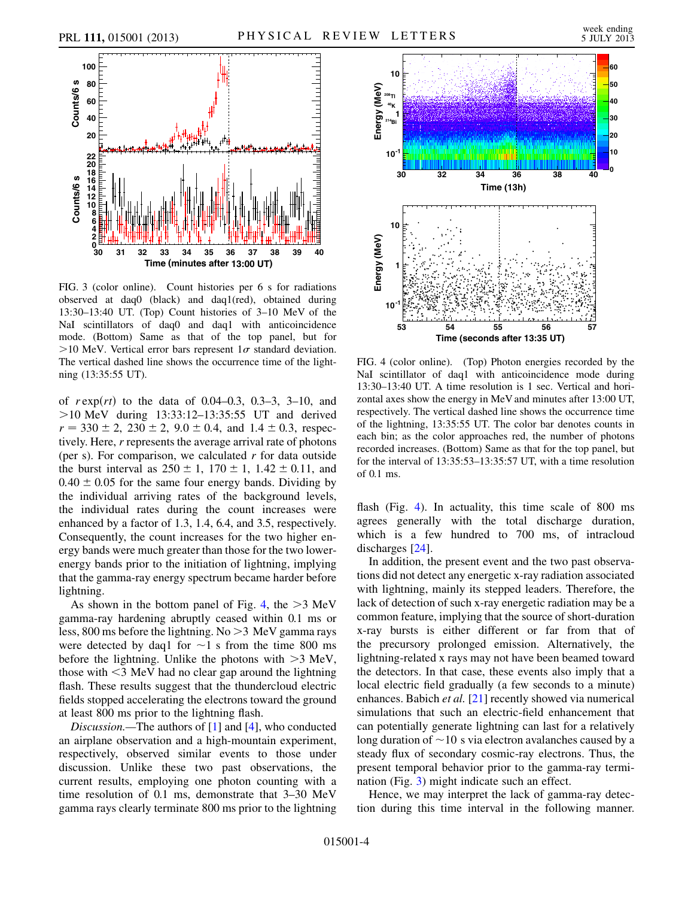<span id="page-3-0"></span>

FIG. 3 (color online). Count histories per 6 s for radiations observed at daq0 (black) and daq1(red), obtained during 13:30–13:40 UT. (Top) Count histories of 3–10 MeV of the NaI scintillators of daq0 and daq1 with anticoincidence mode. (Bottom) Same as that of the top panel, but for >10 MeV. Vertical error bars represent  $1\sigma$  standard deviation. The vertical dashed line shows the occurrence time of the lightning (13:35:55 UT).

of  $r \exp(rt)$  to the data of 0.04–0.3, 0.3–3, 3–10, and >10 MeV during 13:33:12–13:35:55 UT and derived  $r = 330 \pm 2$ ,  $230 \pm 2$ ,  $9.0 \pm 0.4$ , and  $1.4 \pm 0.3$ , respectively. Here, r represents the average arrival rate of photons (per s). For comparison, we calculated  $r$  for data outside the burst interval as  $250 \pm 1$ ,  $170 \pm 1$ ,  $1.42 \pm 0.11$ , and  $0.40 \pm 0.05$  for the same four energy bands. Dividing by the individual arriving rates of the background levels, the individual rates during the count increases were enhanced by a factor of 1.3, 1.4, 6.4, and 3.5, respectively. Consequently, the count increases for the two higher energy bands were much greater than those for the two lowerenergy bands prior to the initiation of lightning, implying that the gamma-ray energy spectrum became harder before lightning.

As shown in the bottom panel of Fig. [4](#page-3-1), the  $>3$  MeV gamma-ray hardening abruptly ceased within 0.1 ms or less, 800 ms before the lightning. No >3 MeV gamma rays were detected by daq1 for  $\sim$ 1 s from the time 800 ms before the lightning. Unlike the photons with >3 MeV, those with  $\leq$ 3 MeV had no clear gap around the lightning flash. These results suggest that the thundercloud electric fields stopped accelerating the electrons toward the ground at least 800 ms prior to the lightning flash.

Discussion.—The authors of [\[1](#page-4-0)] and [[4\]](#page-4-12), who conducted an airplane observation and a high-mountain experiment, respectively, observed similar events to those under discussion. Unlike these two past observations, the current results, employing one photon counting with a time resolution of 0.1 ms, demonstrate that 3–30 MeV gamma rays clearly terminate 800 ms prior to the lightning

<span id="page-3-1"></span>

FIG. 4 (color online). (Top) Photon energies recorded by the NaI scintillator of daq1 with anticoincidence mode during 13:30–13:40 UT. A time resolution is 1 sec. Vertical and horizontal axes show the energy in MeV and minutes after 13:00 UT, respectively. The vertical dashed line shows the occurrence time of the lightning, 13:35:55 UT. The color bar denotes counts in each bin; as the color approaches red, the number of photons recorded increases. (Bottom) Same as that for the top panel, but for the interval of 13:35:53–13:35:57 UT, with a time resolution of 0.1 ms.

flash (Fig. [4](#page-3-1)). In actuality, this time scale of 800 ms agrees generally with the total discharge duration, which is a few hundred to 700 ms, of intracloud discharges [[24](#page-4-17)].

In addition, the present event and the two past observations did not detect any energetic x-ray radiation associated with lightning, mainly its stepped leaders. Therefore, the lack of detection of such x-ray energetic radiation may be a common feature, implying that the source of short-duration x-ray bursts is either different or far from that of the precursory prolonged emission. Alternatively, the lightning-related x rays may not have been beamed toward the detectors. In that case, these events also imply that a local electric field gradually (a few seconds to a minute) enhances. Babich *et al.*  $[21]$  $[21]$  $[21]$  recently showed via numerical simulations that such an electric-field enhancement that can potentially generate lightning can last for a relatively long duration of  $\sim$ 10 s via electron avalanches caused by a steady flux of secondary cosmic-ray electrons. Thus, the present temporal behavior prior to the gamma-ray termination (Fig. [3\)](#page-3-0) might indicate such an effect.

Hence, we may interpret the lack of gamma-ray detection during this time interval in the following manner.